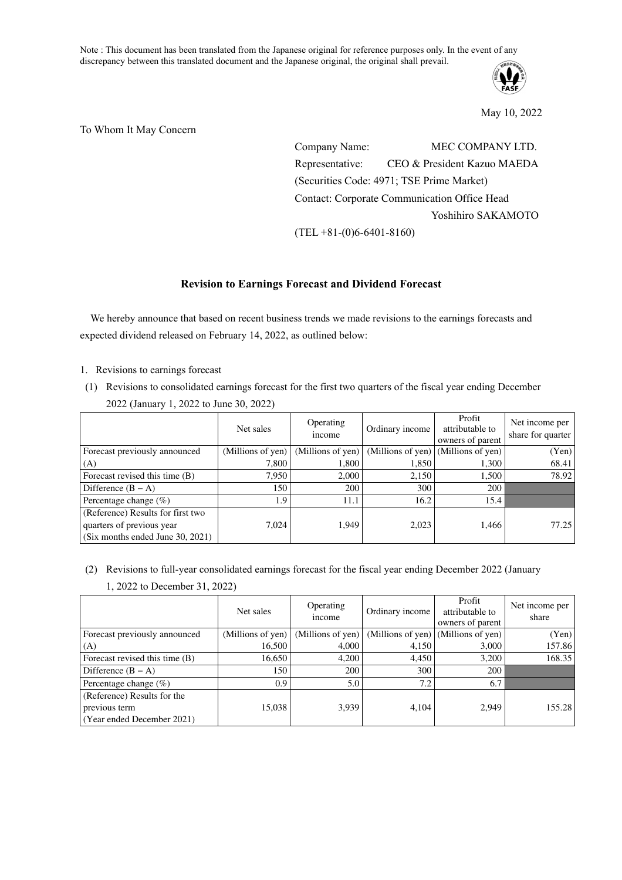Note : This document has been translated from the Japanese original for reference purposes only. In the event of any discrepancy between this translated document and the Japanese original, the original shall prevail.



May 10, 2022

To Whom It May Concern

Company Name: MEC COMPANY LTD. Representative: CEO & President Kazuo MAEDA (Securities Code: 4971; TSE Prime Market) Contact: Corporate Communication Office Head Yoshihiro SAKAMOTO (TEL +81-(0)6-6401-8160)

# **Revision to Earnings Forecast and Dividend Forecast**

We hereby announce that based on recent business trends we made revisions to the earnings forecasts and expected dividend released on February 14, 2022, as outlined below:

- 1. Revisions to earnings forecast
- (1) Revisions to consolidated earnings forecast for the first two quarters of the fiscal year ending December 2022 (January 1, 2022 to June 30, 2022)

|                                   | Net sales         | Operating<br>income | Ordinary income                     | Profit<br>attributable to<br>owners of parent | Net income per<br>share for quarter |
|-----------------------------------|-------------------|---------------------|-------------------------------------|-----------------------------------------------|-------------------------------------|
| Forecast previously announced     | (Millions of yen) | (Millions of yen)   | (Millions of yen) (Millions of yen) |                                               | (Yen)                               |
| (A)                               | 7.800             | 1.800               | 1.850                               | 1,300                                         | 68.41                               |
| Forecast revised this time (B)    | 7,950             | 2,000               | 2,150                               | 1,500                                         | 78.92                               |
| Difference $(B - A)$              | 150               | 200                 | 300                                 | 200                                           |                                     |
| Percentage change $(\%)$          | 1.9               | 11.1                | 16.2                                | 15.4                                          |                                     |
| (Reference) Results for first two |                   |                     |                                     |                                               |                                     |
| quarters of previous year         | 7,024             | 1.949               | 2,023                               | 1,466                                         | 77.25                               |
| (Six months ended June 30, 2021)  |                   |                     |                                     |                                               |                                     |

- (2) Revisions to full-year consolidated earnings forecast for the fiscal year ending December 2022 (January
	- 1, 2022 to December 31, 2022)

|                                | Net sales         | Operating<br>income | Ordinary income                     | Profit<br>attributable to<br>owners of parent | Net income per<br>share |
|--------------------------------|-------------------|---------------------|-------------------------------------|-----------------------------------------------|-------------------------|
| Forecast previously announced  | (Millions of yen) | (Millions of yen)   | (Millions of yen) (Millions of yen) |                                               | (Yen)                   |
| (A)                            | 16.500            | 4.000               | 4.150                               | 3,000                                         | 157.86                  |
| Forecast revised this time (B) | 16,650            | 4,200               | 4,450                               | 3,200                                         | 168.35                  |
| Difference $(B - A)$           | 150               | 200                 | 300                                 | 200                                           |                         |
| Percentage change $(\%)$       | 0.9               | 5.0                 | 7.2                                 | 6.7                                           |                         |
| (Reference) Results for the    |                   |                     |                                     |                                               |                         |
| previous term                  | 15.038            | 3.939               | 4.104                               | 2.949                                         | 155.28                  |
| (Year ended December 2021)     |                   |                     |                                     |                                               |                         |